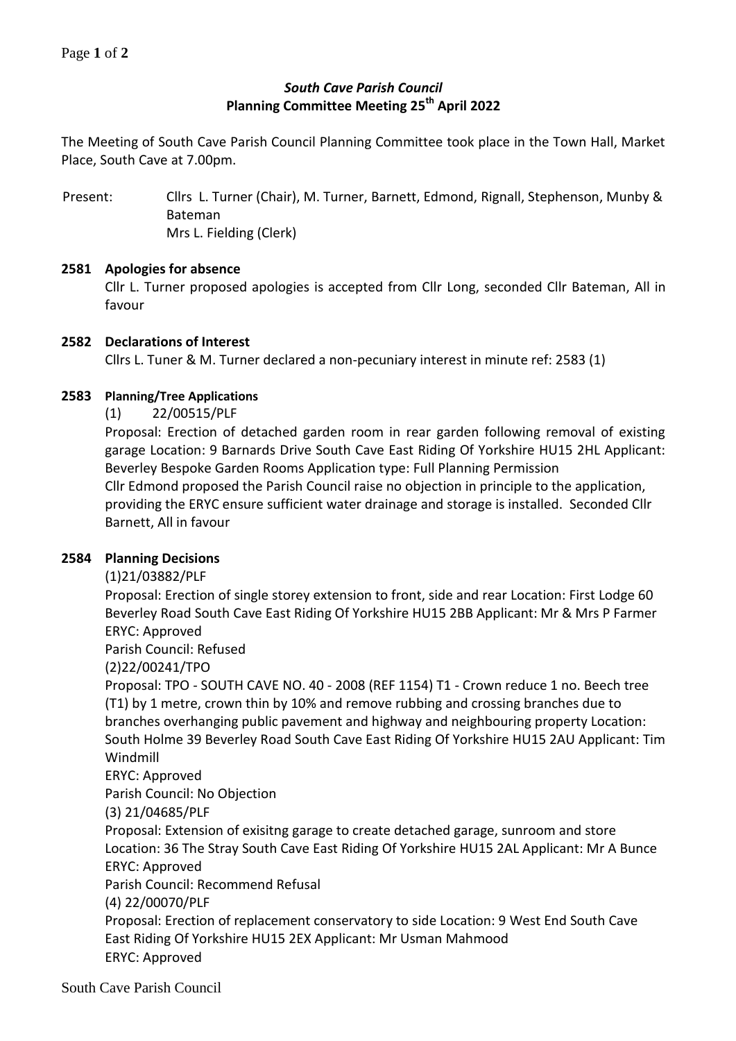# *South Cave Parish Council* **Planning Committee Meeting 25th April 2022**

The Meeting of South Cave Parish Council Planning Committee took place in the Town Hall, Market Place, South Cave at 7.00pm.

Present: Cllrs L. Turner (Chair), M. Turner, Barnett, Edmond, Rignall, Stephenson, Munby & Bateman Mrs L. Fielding (Clerk)

### **2581 Apologies for absence**

Cllr L. Turner proposed apologies is accepted from Cllr Long, seconded Cllr Bateman, All in favour

### **2582 Declarations of Interest**

Cllrs L. Tuner & M. Turner declared a non-pecuniary interest in minute ref: 2583 (1)

### **2583 Planning/Tree Applications**

(1) 22/00515/PLF

Proposal: Erection of detached garden room in rear garden following removal of existing garage Location: 9 Barnards Drive South Cave East Riding Of Yorkshire HU15 2HL Applicant: Beverley Bespoke Garden Rooms Application type: Full Planning Permission Cllr Edmond proposed the Parish Council raise no objection in principle to the application, providing the ERYC ensure sufficient water drainage and storage is installed. Seconded Cllr Barnett, All in favour

## **2584 Planning Decisions**

(1)21/03882/PLF

Proposal: Erection of single storey extension to front, side and rear Location: First Lodge 60 Beverley Road South Cave East Riding Of Yorkshire HU15 2BB Applicant: Mr & Mrs P Farmer ERYC: Approved

Parish Council: Refused

(2)22/00241/TPO

Proposal: TPO - SOUTH CAVE NO. 40 - 2008 (REF 1154) T1 - Crown reduce 1 no. Beech tree (T1) by 1 metre, crown thin by 10% and remove rubbing and crossing branches due to branches overhanging public pavement and highway and neighbouring property Location: South Holme 39 Beverley Road South Cave East Riding Of Yorkshire HU15 2AU Applicant: Tim Windmill

ERYC: Approved

Parish Council: No Objection

(3) 21/04685/PLF

Proposal: Extension of exisitng garage to create detached garage, sunroom and store Location: 36 The Stray South Cave East Riding Of Yorkshire HU15 2AL Applicant: Mr A Bunce ERYC: Approved

Parish Council: Recommend Refusal

(4) 22/00070/PLF

Proposal: Erection of replacement conservatory to side Location: 9 West End South Cave East Riding Of Yorkshire HU15 2EX Applicant: Mr Usman Mahmood ERYC: Approved